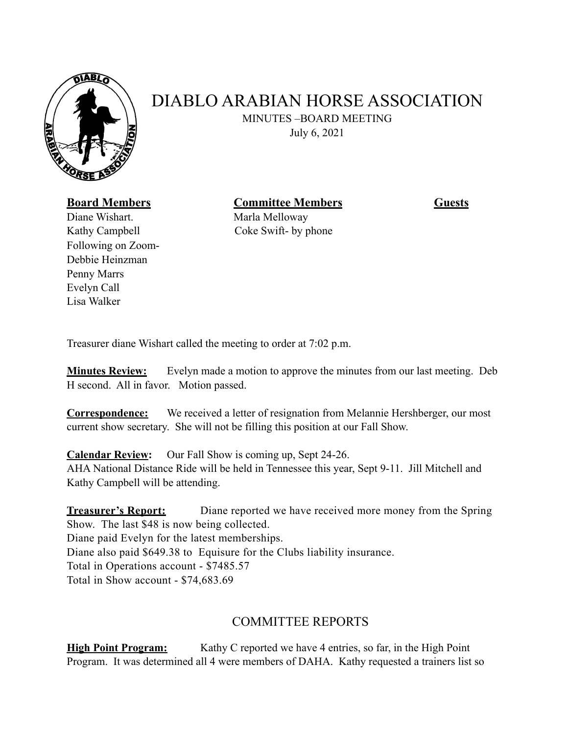

## DIABLO ARABIAN HORSE ASSOCIATION

 MINUTES –BOARD MEETING July 6, 2021

**Board Members Committee Members Guests** 

Diane Wishart. Marla Melloway Following on Zoom-Debbie Heinzman Penny Marrs Evelyn Call Lisa Walker

Kathy Campbell Coke Swift- by phone

Treasurer diane Wishart called the meeting to order at 7:02 p.m.

**Minutes Review:** Evelyn made a motion to approve the minutes from our last meeting. Deb H second. All in favor. Motion passed.

**Correspondence:** We received a letter of resignation from Melannie Hershberger, our most current show secretary. She will not be filling this position at our Fall Show.

**Calendar Review:** Our Fall Show is coming up, Sept 24-26.

AHA National Distance Ride will be held in Tennessee this year, Sept 9-11. Jill Mitchell and Kathy Campbell will be attending.

**Treasurer's Report:** Diane reported we have received more money from the Spring Show. The last \$48 is now being collected. Diane paid Evelyn for the latest memberships. Diane also paid \$649.38 to Equisure for the Clubs liability insurance. Total in Operations account - \$7485.57 Total in Show account - \$74,683.69

## COMMITTEE REPORTS

**High Point Program:** Kathy C reported we have 4 entries, so far, in the High Point Program. It was determined all 4 were members of DAHA. Kathy requested a trainers list so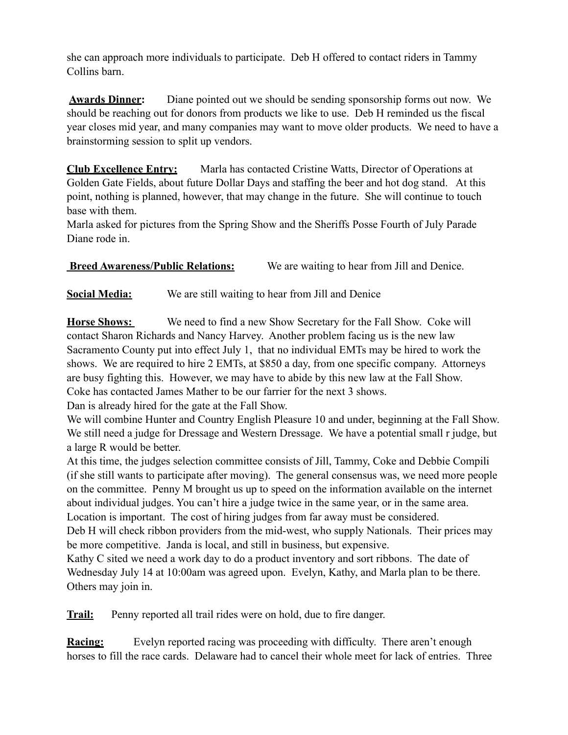she can approach more individuals to participate. Deb H offered to contact riders in Tammy Collins barn.

**Awards Dinner:** Diane pointed out we should be sending sponsorship forms out now. We should be reaching out for donors from products we like to use. Deb H reminded us the fiscal year closes mid year, and many companies may want to move older products. We need to have a brainstorming session to split up vendors.

**Club Excellence Entry:** Marla has contacted Cristine Watts, Director of Operations at Golden Gate Fields, about future Dollar Days and staffing the beer and hot dog stand. At this point, nothing is planned, however, that may change in the future. She will continue to touch base with them.

Marla asked for pictures from the Spring Show and the Sheriffs Posse Fourth of July Parade Diane rode in.

**Breed Awareness/Public Relations:** We are waiting to hear from Jill and Denice.

**Social Media:** We are still waiting to hear from Jill and Denice

**Horse Shows:** We need to find a new Show Secretary for the Fall Show. Coke will contact Sharon Richards and Nancy Harvey. Another problem facing us is the new law Sacramento County put into effect July 1, that no individual EMTs may be hired to work the shows. We are required to hire 2 EMTs, at \$850 a day, from one specific company. Attorneys are busy fighting this. However, we may have to abide by this new law at the Fall Show. Coke has contacted James Mather to be our farrier for the next 3 shows.

Dan is already hired for the gate at the Fall Show.

We will combine Hunter and Country English Pleasure 10 and under, beginning at the Fall Show. We still need a judge for Dressage and Western Dressage. We have a potential small r judge, but a large R would be better.

At this time, the judges selection committee consists of Jill, Tammy, Coke and Debbie Compili (if she still wants to participate after moving). The general consensus was, we need more people on the committee. Penny M brought us up to speed on the information available on the internet about individual judges. You can't hire a judge twice in the same year, or in the same area. Location is important. The cost of hiring judges from far away must be considered.

Deb H will check ribbon providers from the mid-west, who supply Nationals. Their prices may be more competitive. Janda is local, and still in business, but expensive.

Kathy C sited we need a work day to do a product inventory and sort ribbons. The date of Wednesday July 14 at 10:00am was agreed upon. Evelyn, Kathy, and Marla plan to be there. Others may join in.

**Trail:** Penny reported all trail rides were on hold, due to fire danger.

**Racing:** Evelyn reported racing was proceeding with difficulty. There aren't enough horses to fill the race cards. Delaware had to cancel their whole meet for lack of entries. Three